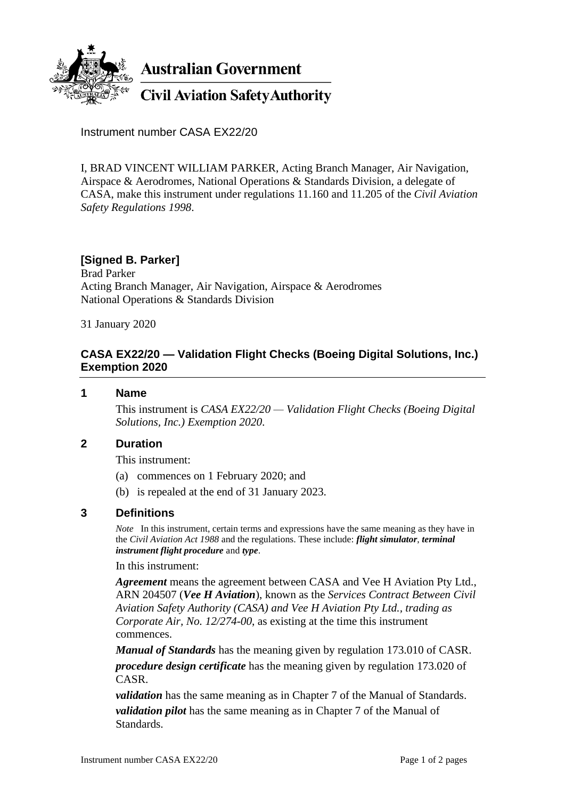

**Australian Government** 

**Civil Aviation Safety Authority** 

Instrument number CASA EX22/20

I, BRAD VINCENT WILLIAM PARKER, Acting Branch Manager, Air Navigation, Airspace & Aerodromes, National Operations & Standards Division, a delegate of CASA, make this instrument under regulations 11.160 and 11.205 of the *Civil Aviation Safety Regulations 1998*.

# **[Signed B. Parker]**

Brad Parker Acting Branch Manager, Air Navigation, Airspace & Aerodromes National Operations & Standards Division

31 January 2020

## **CASA EX22/20 — Validation Flight Checks (Boeing Digital Solutions, Inc.) Exemption 2020**

### **1 Name**

This instrument is *CASA EX22/20 — Validation Flight Checks (Boeing Digital Solutions, Inc.) Exemption 2020*.

#### **2 Duration**

This instrument:

- (a) commences on 1 February 2020; and
- (b) is repealed at the end of 31 January 2023.

## **3 Definitions**

*Note* In this instrument, certain terms and expressions have the same meaning as they have in the *Civil Aviation Act 1988* and the regulations. These include: *flight simulator*, *terminal instrument flight procedure* and *type*.

#### In this instrument:

*Agreement* means the agreement between CASA and Vee H Aviation Pty Ltd., ARN 204507 (*Vee H Aviation*), known as the *Services Contract Between Civil Aviation Safety Authority (CASA) and Vee H Aviation Pty Ltd., trading as Corporate Air, No. 12/274-00*, as existing at the time this instrument commences.

*Manual of Standards* has the meaning given by regulation 173.010 of CASR. *procedure design certificate* has the meaning given by regulation 173.020 of CASR.

*validation* has the same meaning as in Chapter 7 of the Manual of Standards. *validation pilot* has the same meaning as in Chapter 7 of the Manual of Standards.